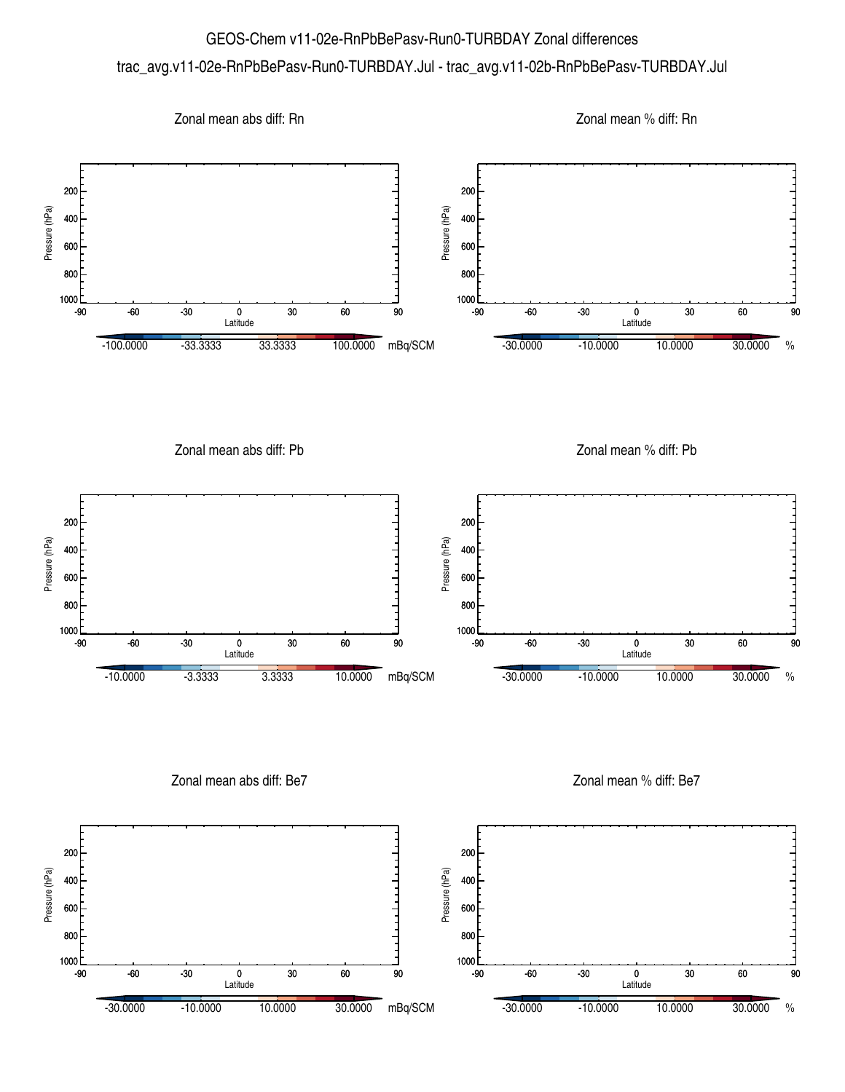## GEOS-Chem v11-02e-RnPbBePasv-Run0-TURBDAY Zonal differences trac\_avg.v11-02e-RnPbBePasv-Run0-TURBDAY.Jul - trac\_avg.v11-02b-RnPbBePasv-TURBDAY.Jul